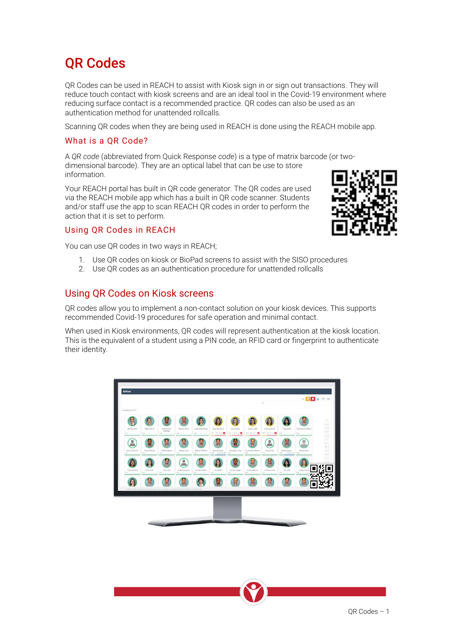# QR Codes

QR Codes can be used in REACH to assist with Kiosk sign in or sign out transactions. They will reduce touch contact with kiosk screens and are an ideal tool in the Covid-19 environment where reducing surface contact is a recommended practice. QR codes can also be used as an authentication method for unattended rollcalls.

Scanning QR codes when they are being used in REACH is done using the REACH mobile app.

#### What is a QR Code?

A *QR code* (abbreviated from Quick Response *code*) is a type of matrix barcode (or twodimensional barcode). They are an optical label that can be use to store information.

Your REACH portal has built in QR code generator. The QR codes are used via the REACH mobile app which has a built in QR code scanner. Students and/or staff use the app to scan REACH QR codes in order to perform the action that it is set to perform.

#### Using QR Codes in REACH

You can use QR codes in two ways in REACH;

- 1. Use QR codes on kiosk or BioPad screens to assist with the SISO procedures
- 2. Use QR codes as an authentication procedure for unattended rollcalls

#### Using QR Codes on Kiosk screens

QR codes allow you to implement a non-contact solution on your kiosk devices. This supports recommended Covid-19 procedures for safe operation and minimal contact.

When used in Kiosk environments, QR codes will represent authentication at the kiosk location. This is the equivalent of a student using a PIN code, an RFID card or fingerprint to authenticate their identity.

| in Kiosk environments, QR codes will represent a<br>quivalent of a student using a PIN code, an RFID |  |
|------------------------------------------------------------------------------------------------------|--|
|                                                                                                      |  |





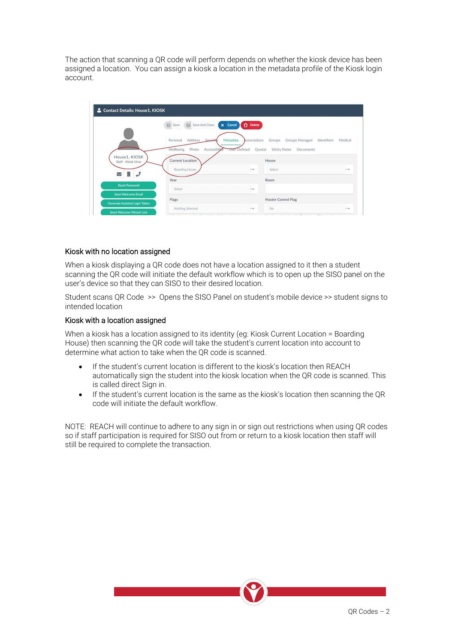The action that scanning a QR code will perform depends on whether the kiosk device has been assigned a location. You can assign a kiosk a location in the metadata profile of the Kiosk login account.

|                                                    | Address<br>Personal<br>Secur      | Metadata<br>Associations | <b>Groups Managed</b><br>Groups            | Identifiers<br>Medical |
|----------------------------------------------------|-----------------------------------|--------------------------|--------------------------------------------|------------------------|
|                                                    | Wellbeing<br>Photo<br>Accessibily | User Defined             | <b>Sticky Notes</b><br>Documents<br>Quotas |                        |
| House1, KIOSK<br>Staff - Kiosk View                | <b>Current Location</b>           |                          | <b>House</b>                               |                        |
| $\smallsetminus$                                   | <b>Boarding House</b>             | $\cdot \vee$             | Select                                     | $\cdot \vee$           |
|                                                    | Year                              |                          | Room                                       |                        |
|                                                    |                                   |                          |                                            |                        |
| <b>Reset Password</b><br><b>Send Welcome Email</b> | Select                            | $\ddot{\phantom{1}}$     |                                            |                        |

#### Kiosk with no location assigned

When a kiosk displaying a QR code does not have a location assigned to it then a student scanning the QR code will initiate the default workflow which is to open up the SISO panel on the user's device so that they can SISO to their desired location.

Student scans QR Code >> Opens the SISO Panel on student's mobile device >> student signs to intended location

#### Kiosk with a location assigned

When a kiosk has a location assigned to its identity (eg: Kiosk Current Location = Boarding House) then scanning the QR code will take the student's current location into account to determine what action to take when the QR code is scanned.

- If the student's current location is different to the kiosk's location then REACH automatically sign the student into the kiosk location when the QR code is scanned. This is called direct Sign in.
- If the student's current location is the same as the kiosk's location then scanning the QR code will initiate the default workflow.

NOTE: REACH will continue to adhere to any sign in or sign out restrictions when using QR codes so if staff participation is required for SISO out from or return to a kiosk location then staff will still be required to complete the transaction.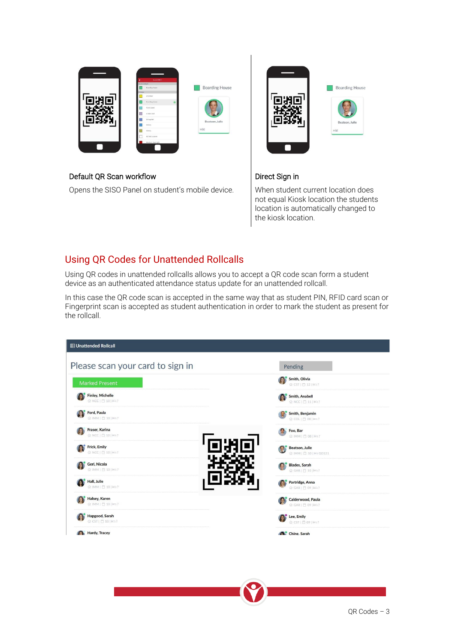| OWNERS *                                     |                       |
|----------------------------------------------|-----------------------|
| <b>Insurancement</b> in<br>thanking its same | <b>Boarding House</b> |
| <b>Sitema</b><br>ArSchool                    |                       |
| <b>Branting Fissue</b>                       |                       |
| Covid-Leave                                  |                       |
| Cristian Chief<br>Diving Hell                |                       |
| Liney                                        | Beatson, Julie        |
| Lisay.                                       | <b>HSE</b>            |
| M/TelsLocation                               |                       |
| Medical - Dverright                          |                       |
|                                              |                       |

#### Default QR Scan workflow

Opens the SISO Panel on student's mobile device.



#### Direct Sign in

When student current location does not equal Kiosk location the students location is automatically changed to the kiosk location.

### Using QR Codes for Unattended Rollcalls

Using QR codes in unattended rollcalls allows you to accept a QR code scan form a student device as an authenticated attendance status update for an unattended rollcall.

In this case the QR code scan is accepted in the same way that as student PIN, RFID card scan or Fingerprint scan is accepted as student authentication in order to mark the student as present for the rollcall.

| <b>E Unattended Rollcall</b>                   |                                                   |
|------------------------------------------------|---------------------------------------------------|
| Please scan your card to sign in               | Pending                                           |
| <b>Marked Present</b>                          | Smith, Olivia<br>@ CST   □ 12   km?               |
| <b>Finley, Michelle</b><br>@ NCC   日 10   kg ? | Smith, Anabell<br><b>@NCC</b>   日 11   kg ?       |
| Ford, Paula<br>@ IMM   門 10   km?              | Smith, Benjamin<br>G COL  門 08   kg?              |
| Fraser, Karina<br>@ NCC   □ 10   km?           | Foo, Bar<br>Q IMM   門 08   回?                     |
| <b>Frick, Emily</b><br>@ NCC   目 10   km?      | Beatson, Julie<br>@ IMM   □ 10   kg GD121         |
| Geri, Nicola<br>G IMM   目 10   kg ?            | <b>Blades, Sarah</b><br><b>Q GAR   □ 10   km?</b> |
| Hall, Julie<br>@ IMM   門 10   kg?              | Partridge, Anna<br>G GAR   門 09   leca?           |
| Halsey, Karen<br>@ IMM   門 10   kg?            | Calderwood, Paula<br><b>命 GAR   自 09   kg?</b>    |
| Hapgood, Sarah<br>G CST   □ 10   km ?          | Lee, Emily<br>@ CST   自 09   km?                  |
| Hardy, Tracey                                  | Ching, Sarah                                      |